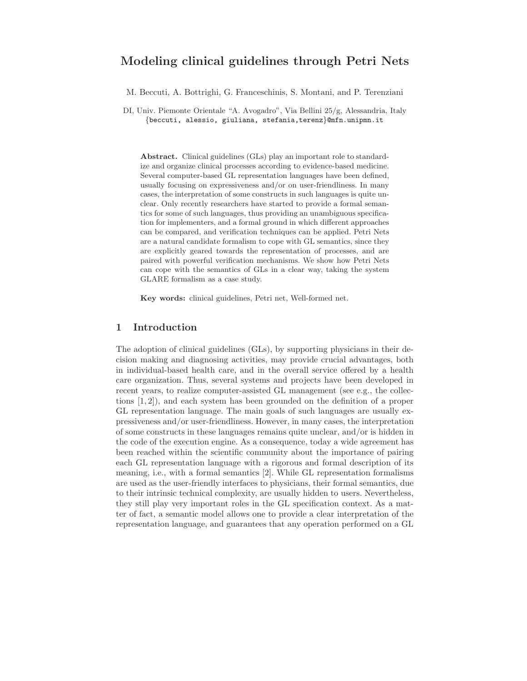# Modeling clinical guidelines through Petri Nets

M. Beccuti, A. Bottrighi, G. Franceschinis, S. Montani, and P. Terenziani

DI, Univ. Piemonte Orientale "A. Avogadro", Via Bellini 25/g, Alessandria, Italy {beccuti, alessio, giuliana, stefania,terenz}@mfn.unipmn.it

Abstract. Clinical guidelines (GLs) play an important role to standardize and organize clinical processes according to evidence-based medicine. Several computer-based GL representation languages have been defined, usually focusing on expressiveness and/or on user-friendliness. In many cases, the interpretation of some constructs in such languages is quite unclear. Only recently researchers have started to provide a formal semantics for some of such languages, thus providing an unambiguous specification for implementers, and a formal ground in which different approaches can be compared, and verification techniques can be applied. Petri Nets are a natural candidate formalism to cope with GL semantics, since they are explicitly geared towards the representation of processes, and are paired with powerful verification mechanisms. We show how Petri Nets can cope with the semantics of GLs in a clear way, taking the system GLARE formalism as a case study.

Key words: clinical guidelines, Petri net, Well-formed net.

### 1 Introduction

The adoption of clinical guidelines (GLs), by supporting physicians in their decision making and diagnosing activities, may provide crucial advantages, both in individual-based health care, and in the overall service offered by a health care organization. Thus, several systems and projects have been developed in recent years, to realize computer-assisted GL management (see e.g., the collections [1, 2]), and each system has been grounded on the definition of a proper GL representation language. The main goals of such languages are usually expressiveness and/or user-friendliness. However, in many cases, the interpretation of some constructs in these languages remains quite unclear, and/or is hidden in the code of the execution engine. As a consequence, today a wide agreement has been reached within the scientific community about the importance of pairing each GL representation language with a rigorous and formal description of its meaning, i.e., with a formal semantics [2]. While GL representation formalisms are used as the user-friendly interfaces to physicians, their formal semantics, due to their intrinsic technical complexity, are usually hidden to users. Nevertheless, they still play very important roles in the GL specification context. As a matter of fact, a semantic model allows one to provide a clear interpretation of the representation language, and guarantees that any operation performed on a GL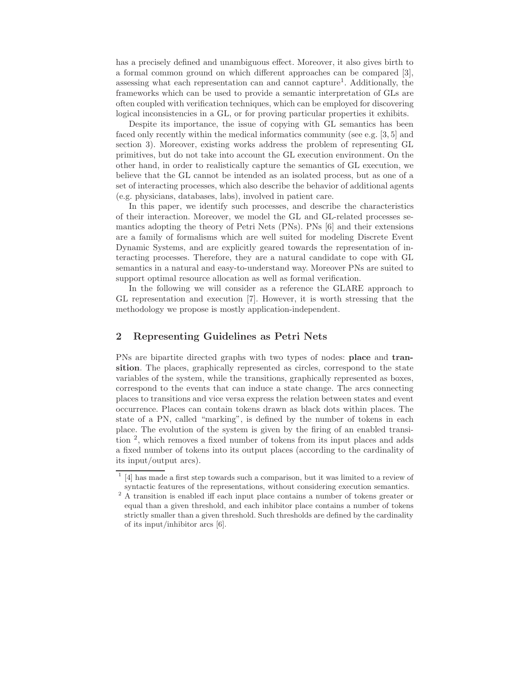has a precisely defined and unambiguous effect. Moreover, it also gives birth to a formal common ground on which different approaches can be compared [3], assessing what each representation can and cannot capture<sup>1</sup>. Additionally, the frameworks which can be used to provide a semantic interpretation of GLs are often coupled with verification techniques, which can be employed for discovering logical inconsistencies in a GL, or for proving particular properties it exhibits.

Despite its importance, the issue of copying with GL semantics has been faced only recently within the medical informatics community (see e.g. [3, 5] and section 3). Moreover, existing works address the problem of representing GL primitives, but do not take into account the GL execution environment. On the other hand, in order to realistically capture the semantics of GL execution, we believe that the GL cannot be intended as an isolated process, but as one of a set of interacting processes, which also describe the behavior of additional agents (e.g. physicians, databases, labs), involved in patient care.

In this paper, we identify such processes, and describe the characteristics of their interaction. Moreover, we model the GL and GL-related processes semantics adopting the theory of Petri Nets (PNs). PNs [6] and their extensions are a family of formalisms which are well suited for modeling Discrete Event Dynamic Systems, and are explicitly geared towards the representation of interacting processes. Therefore, they are a natural candidate to cope with GL semantics in a natural and easy-to-understand way. Moreover PNs are suited to support optimal resource allocation as well as formal verification.

In the following we will consider as a reference the GLARE approach to GL representation and execution [7]. However, it is worth stressing that the methodology we propose is mostly application-independent.

# 2 Representing Guidelines as Petri Nets

PNs are bipartite directed graphs with two types of nodes: place and transition. The places, graphically represented as circles, correspond to the state variables of the system, while the transitions, graphically represented as boxes, correspond to the events that can induce a state change. The arcs connecting places to transitions and vice versa express the relation between states and event occurrence. Places can contain tokens drawn as black dots within places. The state of a PN, called "marking", is defined by the number of tokens in each place. The evolution of the system is given by the firing of an enabled transition <sup>2</sup> , which removes a fixed number of tokens from its input places and adds a fixed number of tokens into its output places (according to the cardinality of its input/output arcs).

<sup>&</sup>lt;sup>1</sup> [4] has made a first step towards such a comparison, but it was limited to a review of syntactic features of the representations, without considering execution semantics.

<sup>&</sup>lt;sup>2</sup> A transition is enabled iff each input place contains a number of tokens greater or equal than a given threshold, and each inhibitor place contains a number of tokens strictly smaller than a given threshold. Such thresholds are defined by the cardinality of its input/inhibitor arcs [6].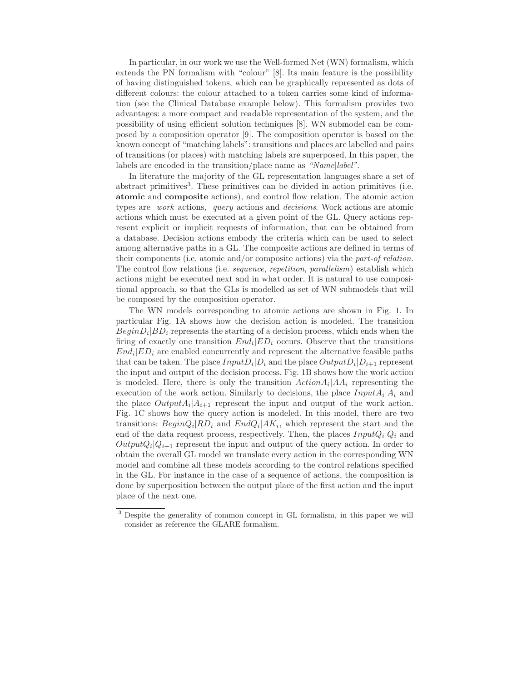In particular, in our work we use the Well-formed Net (WN) formalism, which extends the PN formalism with "colour" [8]. Its main feature is the possibility of having distinguished tokens, which can be graphically represented as dots of different colours: the colour attached to a token carries some kind of information (see the Clinical Database example below). This formalism provides two advantages: a more compact and readable representation of the system, and the possibility of using efficient solution techniques [8]. WN submodel can be composed by a composition operator [9]. The composition operator is based on the known concept of "matching labels": transitions and places are labelled and pairs of transitions (or places) with matching labels are superposed. In this paper, the labels are encoded in the transition/place name as *"Name*|*label"*.

In literature the majority of the GL representation languages share a set of abstract primitives<sup>3</sup>. These primitives can be divided in action primitives (i.e. atomic and composite actions), and control flow relation. The atomic action types are *work* actions, *query* actions and *decisions*. Work actions are atomic actions which must be executed at a given point of the GL. Query actions represent explicit or implicit requests of information, that can be obtained from a database. Decision actions embody the criteria which can be used to select among alternative paths in a GL. The composite actions are defined in terms of their components (i.e. atomic and/or composite actions) via the *part-of relation*. The control flow relations (i.e. *sequence*, *repetition*, *parallelism*) establish which actions might be executed next and in what order. It is natural to use compositional approach, so that the GLs is modelled as set of WN submodels that will be composed by the composition operator.

The WN models corresponding to atomic actions are shown in Fig. 1. In particular Fig. 1A shows how the decision action is modeled. The transition  $Begin D<sub>i</sub> | BD<sub>i</sub>$  represents the starting of a decision process, which ends when the firing of exactly one transition  $End_i|ED_i$  occurs. Observe that the transitions  $End_i|ED_i$  are enabled concurrently and represent the alternative feasible paths that can be taken. The place  $InputD_i|D_i$  and the place  $OutputD_i|D_{i+1}$  represent the input and output of the decision process. Fig. 1B shows how the work action is modeled. Here, there is only the transition  $ActionA_i|AA_i$  representing the execution of the work action. Similarly to decisions, the place  $InputA_i|A_i$  and the place  $OutputA_i|A_{i+1}$  represent the input and output of the work action. Fig. 1C shows how the query action is modeled. In this model, there are two transitions:  $BeginQ_i|RD_i$  and  $EndQ_i|AK_i$ , which represent the start and the end of the data request process, respectively. Then, the places  $InputQ_i|Q_i$  and  $OutputQ_i|Q_{i+1}$  represent the input and output of the query action. In order to obtain the overall GL model we translate every action in the corresponding WN model and combine all these models according to the control relations specified in the GL. For instance in the case of a sequence of actions, the composition is done by superposition between the output place of the first action and the input place of the next one.

<sup>&</sup>lt;sup>3</sup> Despite the generality of common concept in GL formalism, in this paper we will consider as reference the GLARE formalism.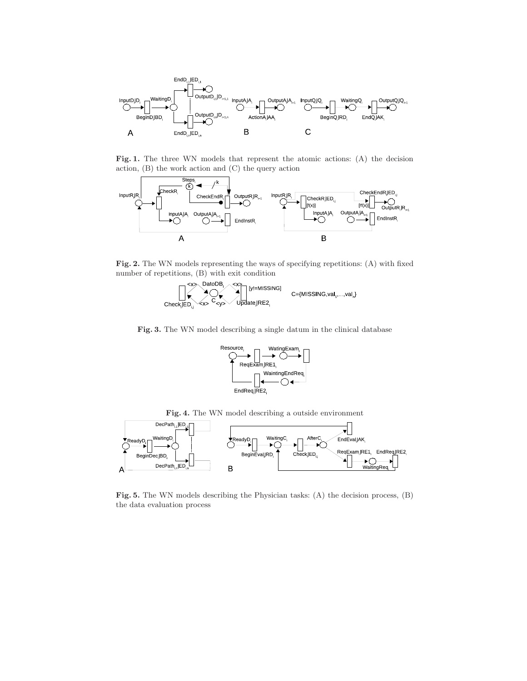

Fig. 1. The three WN models that represent the atomic actions: (A) the decision action, (B) the work action and (C) the query action



Fig. 2. The WN models representing the ways of specifying repetitions: (A) with fixed number of repetitions, (B) with exit condition



Fig. 3. The WN model describing a single datum in the clinical database



Fig. 4. The WN model describing a outside environment



Fig. 5. The WN models describing the Physician tasks: (A) the decision process, (B) the data evaluation process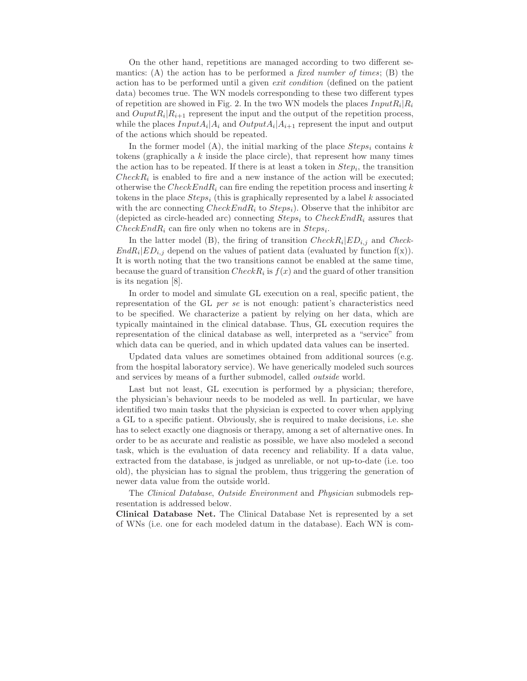On the other hand, repetitions are managed according to two different semantics: (A) the action has to be performed a *fixed number of times*; (B) the action has to be performed until a given *exit condition* (defined on the patient data) becomes true. The WN models corresponding to these two different types of repetition are showed in Fig. 2. In the two WN models the places  $InputR_i|R_i$ and  $OutputR_i|R_{i+1}$  represent the input and the output of the repetition process, while the places  $InputA_i|A_i$  and  $OutputA_i|A_{i+1}$  represent the input and output of the actions which should be repeated.

In the former model (A), the initial marking of the place  $Steps<sub>i</sub>$  contains k tokens (graphically a  $k$  inside the place circle), that represent how many times the action has to be repeated. If there is at least a token in  $Step_i$ , the transition  $CheckR_i$  is enabled to fire and a new instance of the action will be executed; otherwise the  $CheckEndR_i$  can fire ending the repetition process and inserting k tokens in the place  $Steps<sub>i</sub>$  (this is graphically represented by a label k associated with the arc connecting  $CheckEndR_i$  to  $Steps_i)$ . Observe that the inhibitor arc (depicted as circle-headed arc) connecting  $Steps<sub>i</sub>$  to  $CheckEndR<sub>i</sub>$  assures that  $CheckEndR_i$  can fire only when no tokens are in  $Steps_i$ .

In the latter model (B), the firing of transition  $CheckR_i|ED_{i,j}$  and  $Check EndR_i|ED_{i,j}$  depend on the values of patient data (evaluated by function  $f(x)$ ). It is worth noting that the two transitions cannot be enabled at the same time, because the guard of transition  $CheckR_i$  is  $f(x)$  and the guard of other transition is its negation [8].

In order to model and simulate GL execution on a real, specific patient, the representation of the GL *per se* is not enough: patient's characteristics need to be specified. We characterize a patient by relying on her data, which are typically maintained in the clinical database. Thus, GL execution requires the representation of the clinical database as well, interpreted as a "service" from which data can be queried, and in which updated data values can be inserted.

Updated data values are sometimes obtained from additional sources (e.g. from the hospital laboratory service). We have generically modeled such sources and services by means of a further submodel, called *outside* world.

Last but not least, GL execution is performed by a physician; therefore, the physician's behaviour needs to be modeled as well. In particular, we have identified two main tasks that the physician is expected to cover when applying a GL to a specific patient. Obviously, she is required to make decisions, i.e. she has to select exactly one diagnosis or therapy, among a set of alternative ones. In order to be as accurate and realistic as possible, we have also modeled a second task, which is the evaluation of data recency and reliability. If a data value, extracted from the database, is judged as unreliable, or not up-to-date (i.e. too old), the physician has to signal the problem, thus triggering the generation of newer data value from the outside world.

The *Clinical Database*, *Outside Environment* and *Physician* submodels representation is addressed below.

Clinical Database Net. The Clinical Database Net is represented by a set of WNs (i.e. one for each modeled datum in the database). Each WN is com-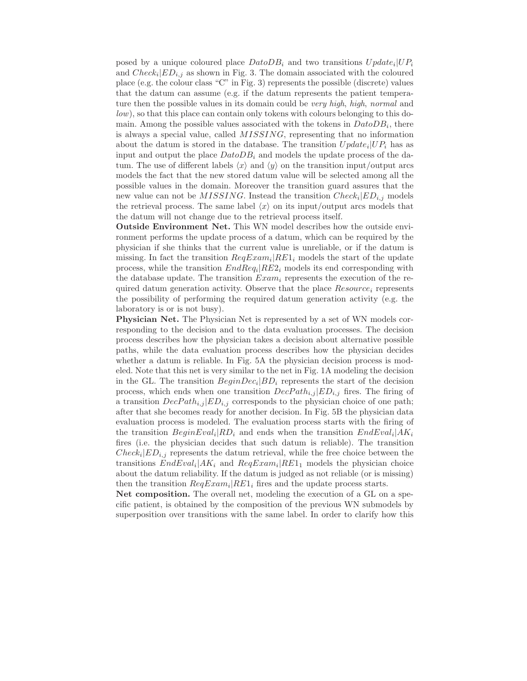posed by a unique coloured place  $DatoDB_i$  and two transitions  $Update_i | UP_i$ and  $Check_i|ED_{i,j}$  as shown in Fig. 3. The domain associated with the coloured place (e.g. the colour class "C" in Fig. 3) represents the possible (discrete) values that the datum can assume (e.g. if the datum represents the patient temperature then the possible values in its domain could be *very high*, *high*, *normal* and *low*), so that this place can contain only tokens with colours belonging to this domain. Among the possible values associated with the tokens in  $DatoDB_i$ , there is always a special value, called MISSING, representing that no information about the datum is stored in the database. The transition  $Update_i | UP_i$  has as input and output the place  $DatoDB_i$  and models the update process of the datum. The use of different labels  $\langle x \rangle$  and  $\langle y \rangle$  on the transition input/output arcs models the fact that the new stored datum value will be selected among all the possible values in the domain. Moreover the transition guard assures that the new value can not be  $MISSING$ . Instead the transition  $Check_i|ED_{i,j}$  models the retrieval process. The same label  $\langle x \rangle$  on its input/output arcs models that the datum will not change due to the retrieval process itself.

Outside Environment Net. This WN model describes how the outside environment performs the update process of a datum, which can be required by the physician if she thinks that the current value is unreliable, or if the datum is missing. In fact the transition  $ReqExam_i|RE1_i$  models the start of the update process, while the transition  $EndReq_i | RE2_i$  models its end corresponding with the database update. The transition  $Exam_i$  represents the execution of the required datum generation activity. Observe that the place  $Resource_i$  represents the possibility of performing the required datum generation activity (e.g. the laboratory is or is not busy).

Physician Net. The Physician Net is represented by a set of WN models corresponding to the decision and to the data evaluation processes. The decision process describes how the physician takes a decision about alternative possible paths, while the data evaluation process describes how the physician decides whether a datum is reliable. In Fig. 5A the physician decision process is modeled. Note that this net is very similar to the net in Fig. 1A modeling the decision in the GL. The transition  $BeginDec_i|BD_i$  represents the start of the decision process, which ends when one transition  $DecPath_{i,j}|ED_{i,j}$  fires. The firing of a transition  $DecPath_{i,j}|ED_{i,j}$  corresponds to the physician choice of one path; after that she becomes ready for another decision. In Fig. 5B the physician data evaluation process is modeled. The evaluation process starts with the firing of the transition  $BeginEval_i|RD_i$  and ends when the transition  $EndEval_i|AK_i$ fires (i.e. the physician decides that such datum is reliable). The transition  $Check_i|ED_{i,j}$  represents the datum retrieval, while the free choice between the transitions  $EndEval_i | AK_i$  and  $RegExam_i | RE1_1$  models the physician choice about the datum reliability. If the datum is judged as not reliable (or is missing) then the transition  $ReqExam_i|RE1_i$  fires and the update process starts.

Net composition. The overall net, modeling the execution of a GL on a specific patient, is obtained by the composition of the previous WN submodels by superposition over transitions with the same label. In order to clarify how this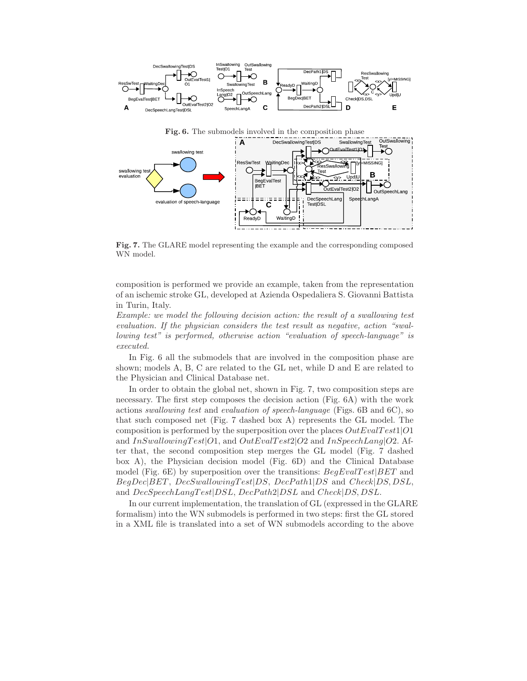



Fig. 6. The submodels involved in the composition phase

Fig. 7. The GLARE model representing the example and the corresponding composed WN model.

composition is performed we provide an example, taken from the representation of an ischemic stroke GL, developed at Azienda Ospedaliera S. Giovanni Battista in Turin, Italy.

*Example: we model the following decision action: the result of a swallowing test evaluation. If the physician considers the test result as negative, action "swallowing test" is performed, otherwise action "evaluation of speech-language" is executed.*

In Fig. 6 all the submodels that are involved in the composition phase are shown; models A, B, C are related to the GL net, while D and E are related to the Physician and Clinical Database net.

In order to obtain the global net, shown in Fig. 7, two composition steps are necessary. The first step composes the decision action (Fig. 6A) with the work actions *swallowing test* and *evaluation of speech-language* (Figs. 6B and 6C), so that such composed net (Fig. 7 dashed box A) represents the GL model. The composition is performed by the superposition over the places  $OutEvalTest1|O1$ and  $InSwallowingTest|O1$ , and  $OutEvalTest2|O2$  and  $InSpechLang|O2$ . After that, the second composition step merges the GL model (Fig. 7 dashed box A), the Physician decision model (Fig. 6D) and the Clinical Database model (Fig. 6E) by superposition over the transitions:  $BegEvalTest| BET$  and BegDec|BET , DecSwallowingTest|DS, DecPath1|DS and Check|DS, DSL, and DecSpeechLangTest|DSL, DecPath2|DSL and Check|DS, DSL.

In our current implementation, the translation of GL (expressed in the GLARE formalism) into the WN submodels is performed in two steps: first the GL stored in a XML file is translated into a set of WN submodels according to the above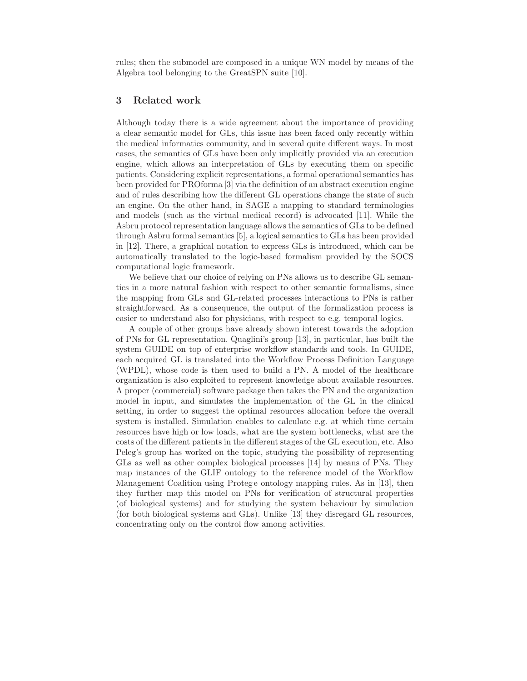rules; then the submodel are composed in a unique WN model by means of the Algebra tool belonging to the GreatSPN suite [10].

## 3 Related work

Although today there is a wide agreement about the importance of providing a clear semantic model for GLs, this issue has been faced only recently within the medical informatics community, and in several quite different ways. In most cases, the semantics of GLs have been only implicitly provided via an execution engine, which allows an interpretation of GLs by executing them on specific patients. Considering explicit representations, a formal operational semantics has been provided for PROforma [3] via the definition of an abstract execution engine and of rules describing how the different GL operations change the state of such an engine. On the other hand, in SAGE a mapping to standard terminologies and models (such as the virtual medical record) is advocated [11]. While the Asbru protocol representation language allows the semantics of GLs to be defined through Asbru formal semantics [5], a logical semantics to GLs has been provided in [12]. There, a graphical notation to express GLs is introduced, which can be automatically translated to the logic-based formalism provided by the SOCS computational logic framework.

We believe that our choice of relying on PNs allows us to describe GL semantics in a more natural fashion with respect to other semantic formalisms, since the mapping from GLs and GL-related processes interactions to PNs is rather straightforward. As a consequence, the output of the formalization process is easier to understand also for physicians, with respect to e.g. temporal logics.

A couple of other groups have already shown interest towards the adoption of PNs for GL representation. Quaglini's group [13], in particular, has built the system GUIDE on top of enterprise workflow standards and tools. In GUIDE, each acquired GL is translated into the Workflow Process Definition Language (WPDL), whose code is then used to build a PN. A model of the healthcare organization is also exploited to represent knowledge about available resources. A proper (commercial) software package then takes the PN and the organization model in input, and simulates the implementation of the GL in the clinical setting, in order to suggest the optimal resources allocation before the overall system is installed. Simulation enables to calculate e.g. at which time certain resources have high or low loads, what are the system bottlenecks, what are the costs of the different patients in the different stages of the GL execution, etc. Also Peleg's group has worked on the topic, studying the possibility of representing GLs as well as other complex biological processes [14] by means of PNs. They map instances of the GLIF ontology to the reference model of the Workflow Management Coalition using Protege ontology mapping rules. As in [13], then they further map this model on PNs for verification of structural properties (of biological systems) and for studying the system behaviour by simulation (for both biological systems and GLs). Unlike [13] they disregard GL resources, concentrating only on the control flow among activities.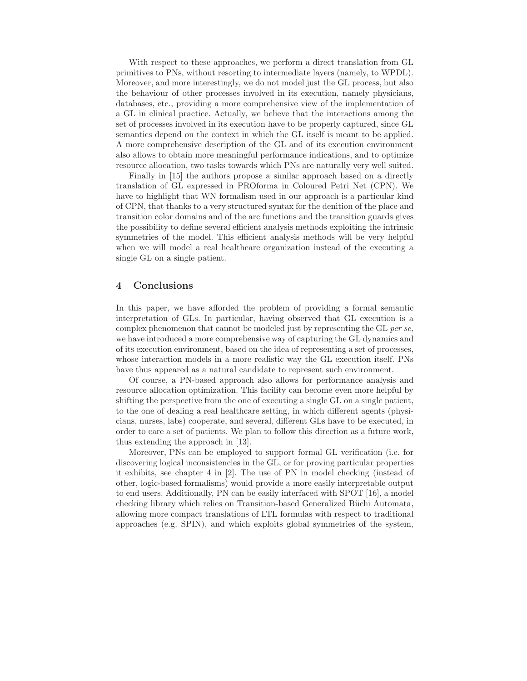With respect to these approaches, we perform a direct translation from GL primitives to PNs, without resorting to intermediate layers (namely, to WPDL). Moreover, and more interestingly, we do not model just the GL process, but also the behaviour of other processes involved in its execution, namely physicians, databases, etc., providing a more comprehensive view of the implementation of a GL in clinical practice. Actually, we believe that the interactions among the set of processes involved in its execution have to be properly captured, since GL semantics depend on the context in which the GL itself is meant to be applied. A more comprehensive description of the GL and of its execution environment also allows to obtain more meaningful performance indications, and to optimize resource allocation, two tasks towards which PNs are naturally very well suited.

Finally in [15] the authors propose a similar approach based on a directly translation of GL expressed in PROforma in Coloured Petri Net (CPN). We have to highlight that WN formalism used in our approach is a particular kind of CPN, that thanks to a very structured syntax for the denition of the place and transition color domains and of the arc functions and the transition guards gives the possibility to define several efficient analysis methods exploiting the intrinsic symmetries of the model. This efficient analysis methods will be very helpful when we will model a real healthcare organization instead of the executing a single GL on a single patient.

# 4 Conclusions

In this paper, we have afforded the problem of providing a formal semantic interpretation of GLs. In particular, having observed that GL execution is a complex phenomenon that cannot be modeled just by representing the GL *per se*, we have introduced a more comprehensive way of capturing the GL dynamics and of its execution environment, based on the idea of representing a set of processes, whose interaction models in a more realistic way the GL execution itself. PNs have thus appeared as a natural candidate to represent such environment.

Of course, a PN-based approach also allows for performance analysis and resource allocation optimization. This facility can become even more helpful by shifting the perspective from the one of executing a single GL on a single patient, to the one of dealing a real healthcare setting, in which different agents (physicians, nurses, labs) cooperate, and several, different GLs have to be executed, in order to care a set of patients. We plan to follow this direction as a future work, thus extending the approach in [13].

Moreover, PNs can be employed to support formal GL verification (i.e. for discovering logical inconsistencies in the GL, or for proving particular properties it exhibits, see chapter 4 in [2]. The use of PN in model checking (instead of other, logic-based formalisms) would provide a more easily interpretable output to end users. Additionally, PN can be easily interfaced with SPOT [16], a model checking library which relies on Transition-based Generalized Büchi Automata, allowing more compact translations of LTL formulas with respect to traditional approaches (e.g. SPIN), and which exploits global symmetries of the system,